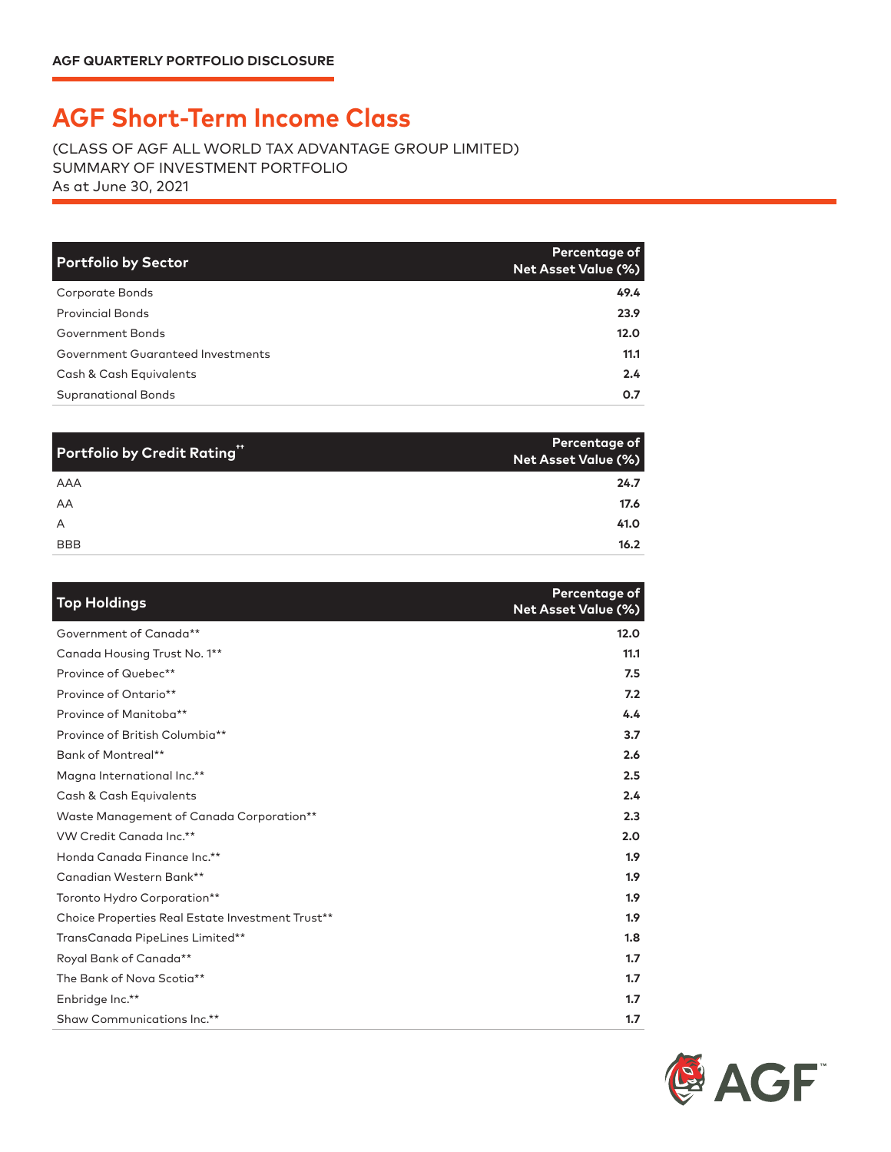## **AGF Short-Term Income Class**

(CLASS OF AGF ALL WORLD TAX ADVANTAGE GROUP LIMITED) SUMMARY OF INVESTMENT PORTFOLIO As at June 30, 2021

| <b>Portfolio by Sector</b>        | Percentage of<br><b>Net Asset Value (%)</b> |
|-----------------------------------|---------------------------------------------|
| Corporate Bonds                   | 49.4                                        |
| <b>Provincial Bonds</b>           | 23.9                                        |
| Government Bonds                  | 12.0                                        |
| Government Guaranteed Investments | 11.1                                        |
| Cash & Cash Equivalents           | $2.4^{\circ}$                               |
| <b>Supranational Bonds</b>        | 0.7                                         |

| Portfolio by Credit Rating" | Percentage of<br><b>Net Asset Value (%)</b> |
|-----------------------------|---------------------------------------------|
| AAA                         | 24.7                                        |
| AA                          | 17.6                                        |
| $\overline{A}$              | 41.0                                        |
| <b>BBB</b>                  | 16.2                                        |

| <b>Top Holdings</b>                              | Percentage of<br><b>Net Asset Value (%)</b> |
|--------------------------------------------------|---------------------------------------------|
| Government of Canada**                           | 12.0                                        |
| Canada Housing Trust No. 1**                     | 11.1                                        |
| Province of Quebec**                             | 7.5                                         |
| Province of Ontario**                            | 7.2                                         |
| Province of Manitoba**                           | 4.4                                         |
| Province of British Columbia**                   | 3.7                                         |
| Bank of Montreal**                               | 2.6                                         |
| Magna International Inc.**                       | 2.5                                         |
| Cash & Cash Equivalents                          | 2.4                                         |
| Waste Management of Canada Corporation**         | 2.3                                         |
| VW Credit Canada Inc.**                          | 2.0                                         |
| Honda Canada Finance Inc.**                      | 1.9                                         |
| Canadian Western Bank**                          | 1.9                                         |
| Toronto Hydro Corporation**                      | 1.9 <sup>2</sup>                            |
| Choice Properties Real Estate Investment Trust** | 1.9                                         |
| TransCanada PipeLines Limited**                  | 1.8                                         |
| Royal Bank of Canada**                           | 1.7                                         |
| The Bank of Nova Scotia**                        | 1.7                                         |
| Enbridge Inc.**                                  | 1.7                                         |
| Shaw Communications Inc.**                       | 1.7                                         |